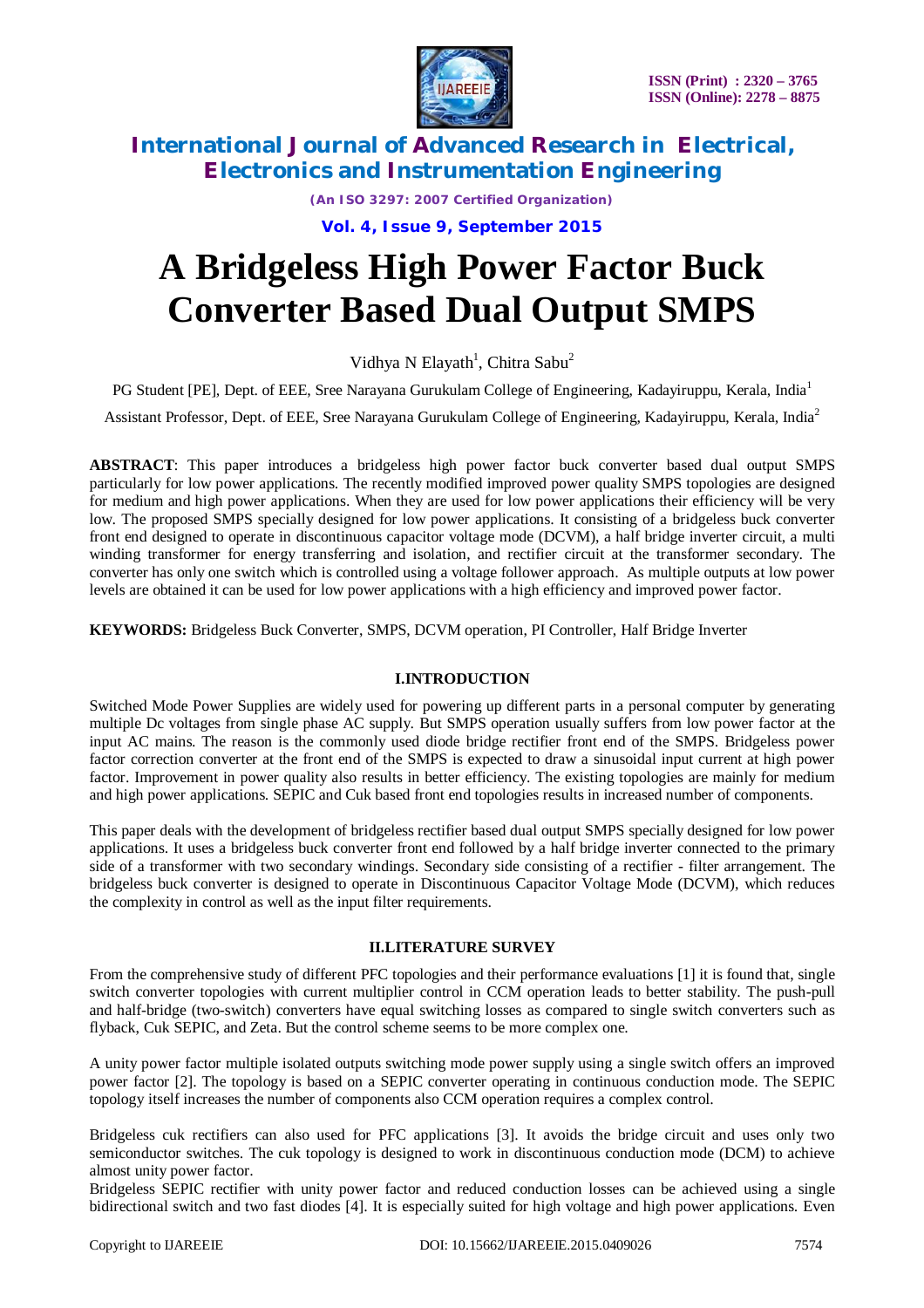

*(An ISO 3297: 2007 Certified Organization)*

**Vol. 4, Issue 9, September 2015**

# **A Bridgeless High Power Factor Buck Converter Based Dual Output SMPS**

Vidhya N Elayath<sup>1</sup>, Chitra Sabu<sup>2</sup>

PG Student [PE], Dept. of EEE, Sree Narayana Gurukulam College of Engineering, Kadayiruppu, Kerala, India<sup>1</sup>

Assistant Professor, Dept. of EEE, Sree Narayana Gurukulam College of Engineering, Kadayiruppu, Kerala, India<sup>2</sup>

**ABSTRACT**: This paper introduces a bridgeless high power factor buck converter based dual output SMPS particularly for low power applications. The recently modified improved power quality SMPS topologies are designed for medium and high power applications. When they are used for low power applications their efficiency will be very low. The proposed SMPS specially designed for low power applications. It consisting of a bridgeless buck converter front end designed to operate in discontinuous capacitor voltage mode (DCVM), a half bridge inverter circuit, a multi winding transformer for energy transferring and isolation, and rectifier circuit at the transformer secondary. The converter has only one switch which is controlled using a voltage follower approach. As multiple outputs at low power levels are obtained it can be used for low power applications with a high efficiency and improved power factor.

**KEYWORDS:** Bridgeless Buck Converter, SMPS, DCVM operation, PI Controller, Half Bridge Inverter

### **I.INTRODUCTION**

Switched Mode Power Supplies are widely used for powering up different parts in a personal computer by generating multiple Dc voltages from single phase AC supply. But SMPS operation usually suffers from low power factor at the input AC mains. The reason is the commonly used diode bridge rectifier front end of the SMPS. Bridgeless power factor correction converter at the front end of the SMPS is expected to draw a sinusoidal input current at high power factor. Improvement in power quality also results in better efficiency. The existing topologies are mainly for medium and high power applications. SEPIC and Cuk based front end topologies results in increased number of components.

This paper deals with the development of bridgeless rectifier based dual output SMPS specially designed for low power applications. It uses a bridgeless buck converter front end followed by a half bridge inverter connected to the primary side of a transformer with two secondary windings. Secondary side consisting of a rectifier - filter arrangement. The bridgeless buck converter is designed to operate in Discontinuous Capacitor Voltage Mode (DCVM), which reduces the complexity in control as well as the input filter requirements.

### **II.LITERATURE SURVEY**

From the comprehensive study of different PFC topologies and their performance evaluations [1] it is found that, single switch converter topologies with current multiplier control in CCM operation leads to better stability. The push-pull and half-bridge (two-switch) converters have equal switching losses as compared to single switch converters such as flyback, Cuk SEPIC, and Zeta. But the control scheme seems to be more complex one.

A unity power factor multiple isolated outputs switching mode power supply using a single switch offers an improved power factor [2]. The topology is based on a SEPIC converter operating in continuous conduction mode. The SEPIC topology itself increases the number of components also CCM operation requires a complex control.

Bridgeless cuk rectifiers can also used for PFC applications [3]. It avoids the bridge circuit and uses only two semiconductor switches. The cuk topology is designed to work in discontinuous conduction mode (DCM) to achieve almost unity power factor.

Bridgeless SEPIC rectifier with unity power factor and reduced conduction losses can be achieved using a single bidirectional switch and two fast diodes [4]. It is especially suited for high voltage and high power applications. Even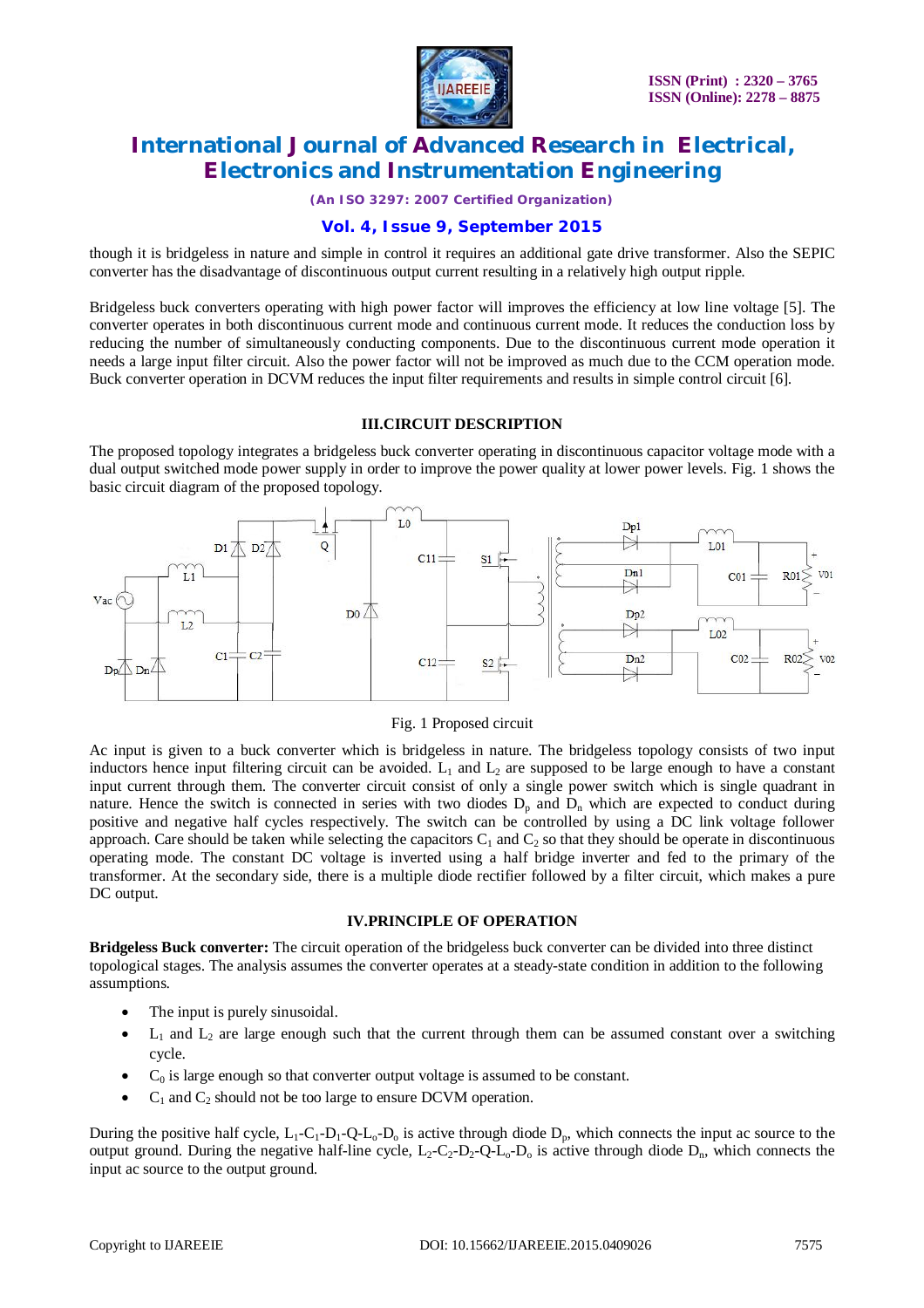

*(An ISO 3297: 2007 Certified Organization)*

### **Vol. 4, Issue 9, September 2015**

though it is bridgeless in nature and simple in control it requires an additional gate drive transformer. Also the SEPIC converter has the disadvantage of discontinuous output current resulting in a relatively high output ripple.

Bridgeless buck converters operating with high power factor will improves the efficiency at low line voltage [5]. The converter operates in both discontinuous current mode and continuous current mode. It reduces the conduction loss by reducing the number of simultaneously conducting components. Due to the discontinuous current mode operation it needs a large input filter circuit. Also the power factor will not be improved as much due to the CCM operation mode. Buck converter operation in DCVM reduces the input filter requirements and results in simple control circuit [6].

#### **III.CIRCUIT DESCRIPTION**

The proposed topology integrates a bridgeless buck converter operating in discontinuous capacitor voltage mode with a dual output switched mode power supply in order to improve the power quality at lower power levels. Fig. 1 shows the basic circuit diagram of the proposed topology.



Fig. 1 Proposed circuit

Ac input is given to a buck converter which is bridgeless in nature. The bridgeless topology consists of two input inductors hence input filtering circuit can be avoided.  $L_1$  and  $L_2$  are supposed to be large enough to have a constant input current through them. The converter circuit consist of only a single power switch which is single quadrant in nature. Hence the switch is connected in series with two diodes  $D_p$  and  $D_n$  which are expected to conduct during positive and negative half cycles respectively. The switch can be controlled by using a DC link voltage follower approach. Care should be taken while selecting the capacitors  $C_1$  and  $C_2$  so that they should be operate in discontinuous operating mode. The constant DC voltage is inverted using a half bridge inverter and fed to the primary of the transformer. At the secondary side, there is a multiple diode rectifier followed by a filter circuit, which makes a pure DC output.

#### **IV.PRINCIPLE OF OPERATION**

**Bridgeless Buck converter:** The circuit operation of the bridgeless buck converter can be divided into three distinct topological stages. The analysis assumes the converter operates at a steady-state condition in addition to the following assumptions.

- The input is purely sinusoidal.
- $L_1$  and  $L_2$  are large enough such that the current through them can be assumed constant over a switching cycle.
- $C_0$  is large enough so that converter output voltage is assumed to be constant.
- $C_1$  and  $C_2$  should not be too large to ensure DCVM operation.

During the positive half cycle,  $L_1-C_1-D_1-Q-L_0-D_0$  is active through diode  $D_n$ , which connects the input ac source to the output ground. During the negative half-line cycle,  $L_2-C_2-D_2-Q-L_0-D_0$  is active through diode  $D_n$ , which connects the input ac source to the output ground.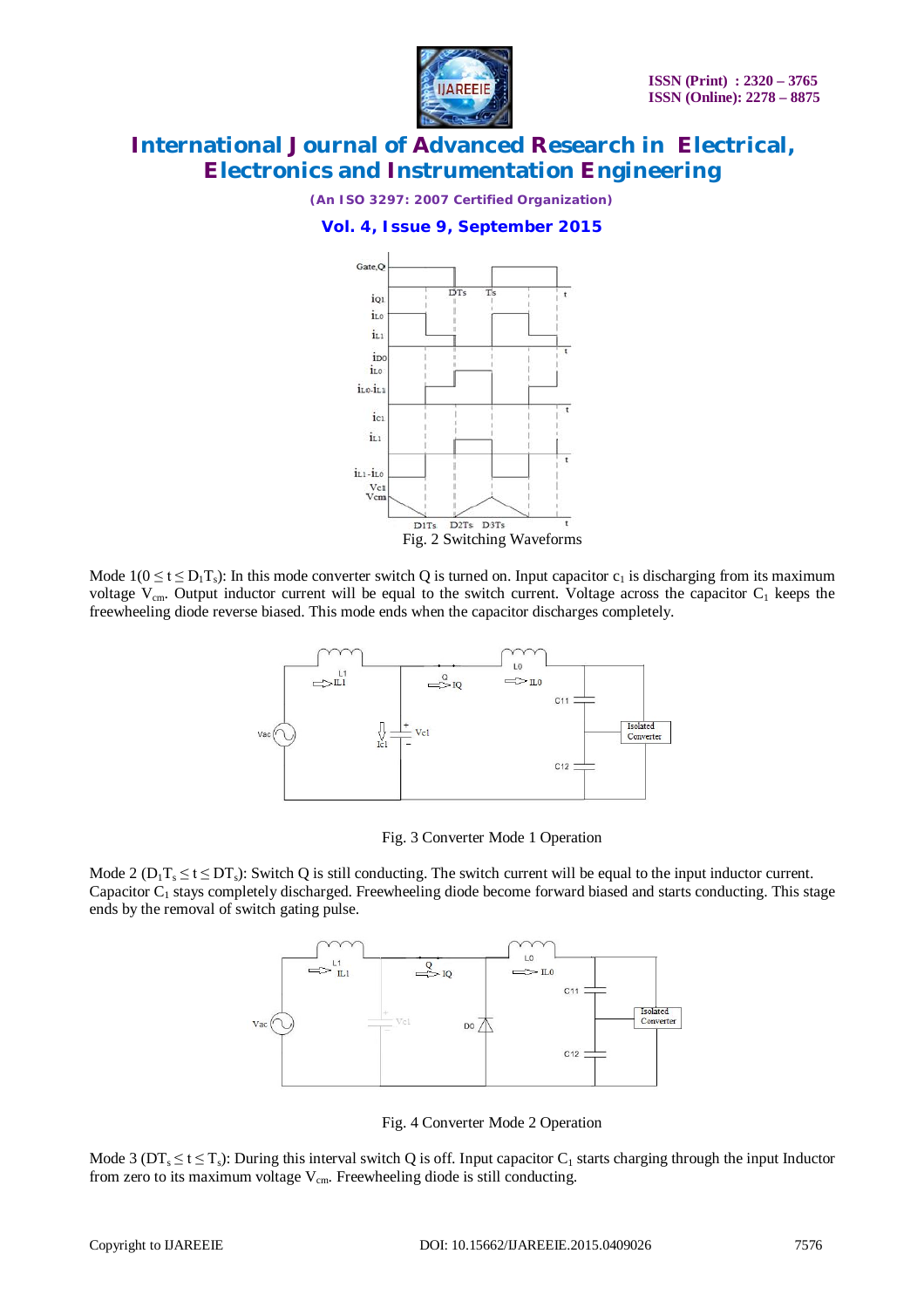

*(An ISO 3297: 2007 Certified Organization)*

#### **Vol. 4, Issue 9, September 2015**



Mode  $1(0 \le t \le D_1T_s)$ : In this mode converter switch Q is turned on. Input capacitor  $c_1$  is discharging from its maximum voltage  $V_{cm}$ . Output inductor current will be equal to the switch current. Voltage across the capacitor  $C_1$  keeps the freewheeling diode reverse biased. This mode ends when the capacitor discharges completely.



Fig. 3 Converter Mode 1 Operation

Mode 2 ( $D_1T_s \le t \le DT_s$ ): Switch Q is still conducting. The switch current will be equal to the input inductor current. Capacitor  $C_1$  stays completely discharged. Freewheeling diode become forward biased and starts conducting. This stage ends by the removal of switch gating pulse.



Fig. 4 Converter Mode 2 Operation

Mode 3 ( $DT_s \le t \le T_s$ ): During this interval switch Q is off. Input capacitor  $C_1$  starts charging through the input Inductor from zero to its maximum voltage  $V_{cm}$ . Freewheeling diode is still conducting.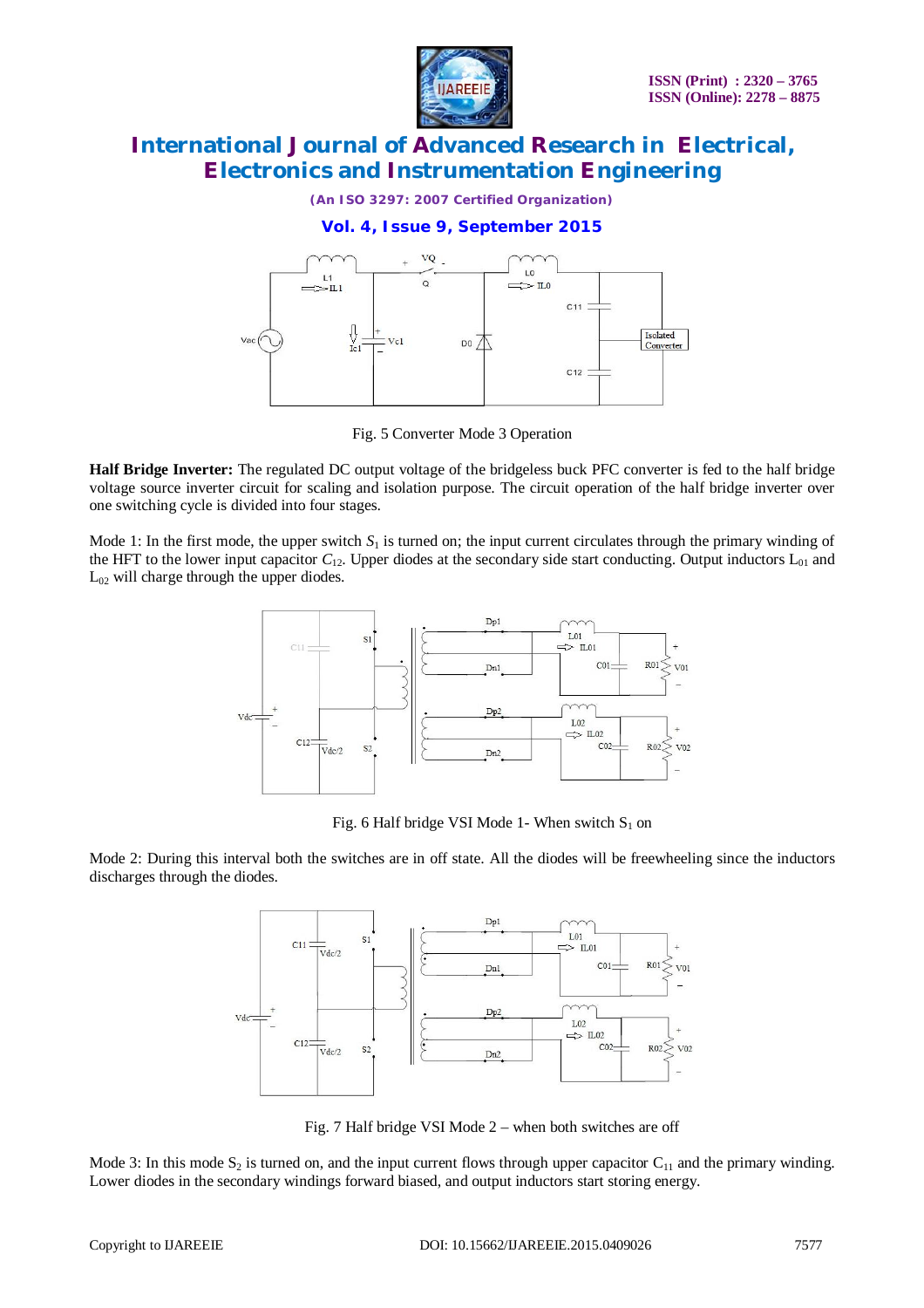

*(An ISO 3297: 2007 Certified Organization)*

#### **Vol. 4, Issue 9, September 2015**



Fig. 5 Converter Mode 3 Operation

**Half Bridge Inverter:** The regulated DC output voltage of the bridgeless buck PFC converter is fed to the half bridge voltage source inverter circuit for scaling and isolation purpose. The circuit operation of the half bridge inverter over one switching cycle is divided into four stages.

Mode 1: In the first mode, the upper switch  $S_1$  is turned on; the input current circulates through the primary winding of the HFT to the lower input capacitor  $C_{12}$ . Upper diodes at the secondary side start conducting. Output inductors  $L_{01}$  and L<sup>02</sup> will charge through the upper diodes.



Fig. 6 Half bridge VSI Mode 1- When switch  $S_1$  on

Mode 2: During this interval both the switches are in off state. All the diodes will be freewheeling since the inductors discharges through the diodes.



Fig. 7 Half bridge VSI Mode 2 – when both switches are off

Mode 3: In this mode  $S_2$  is turned on, and the input current flows through upper capacitor  $C_{11}$  and the primary winding. Lower diodes in the secondary windings forward biased, and output inductors start storing energy.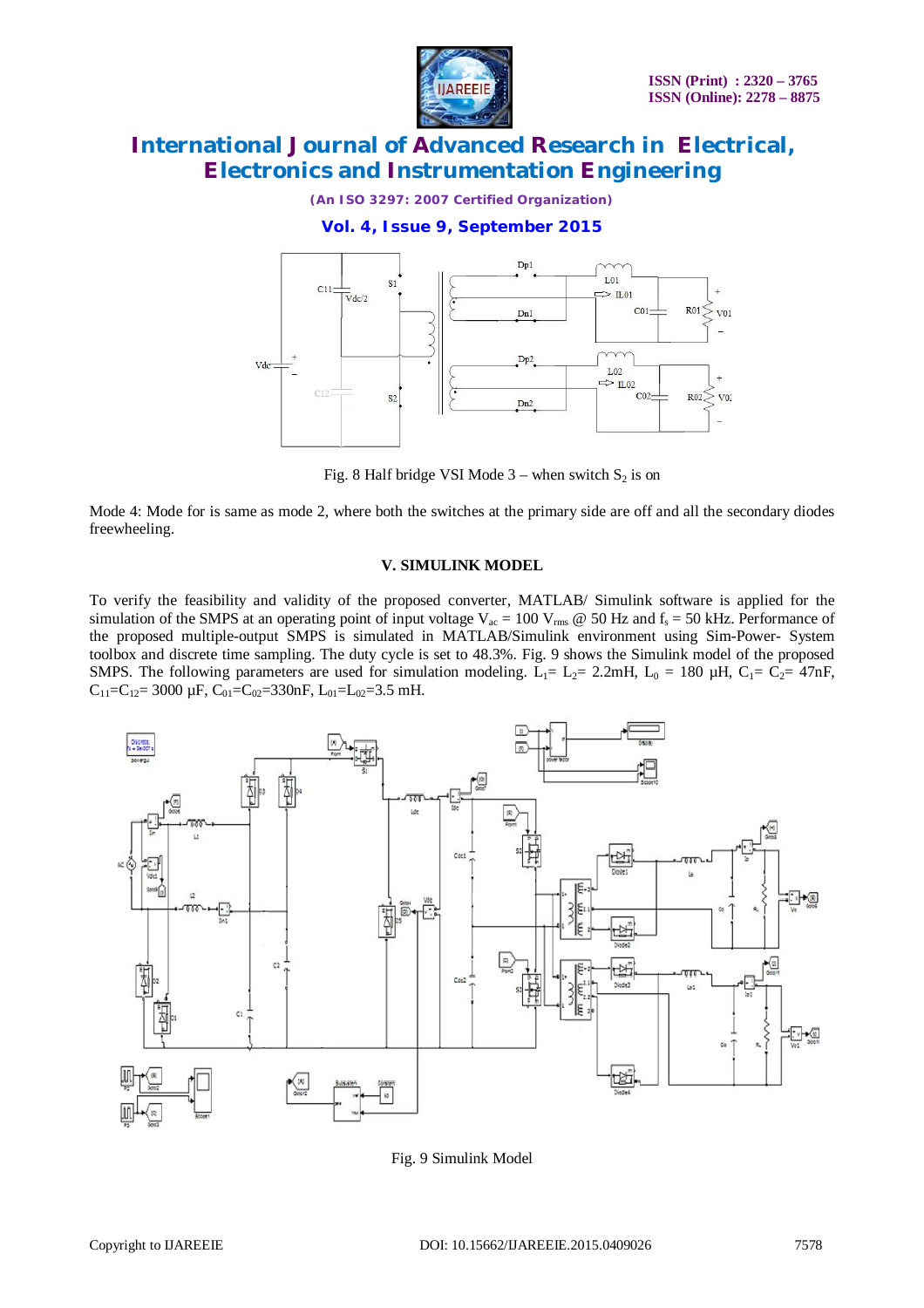**IJAREEIE** 

*(An ISO 3297: 2007 Certified Organization)*

**Vol. 4, Issue 9, September 2015**



Fig. 8 Half bridge VSI Mode  $3$  – when switch  $S_2$  is on

Mode 4: Mode for is same as mode 2, where both the switches at the primary side are off and all the secondary diodes freewheeling.

#### **V. SIMULINK MODEL**

To verify the feasibility and validity of the proposed converter, MATLAB/ Simulink software is applied for the simulation of the SMPS at an operating point of input voltage  $V_{ac} = 100 V_{rms} @ 50 Hz$  and  $f_s = 50 kHz$ . Performance of the proposed multiple-output SMPS is simulated in MATLAB/Simulink environment using Sim-Power- System toolbox and discrete time sampling. The duty cycle is set to 48.3%. Fig. 9 shows the Simulink model of the proposed SMPS. The following parameters are used for simulation modeling.  $L_1 = L_2 = 2.2$ mH,  $L_0 = 180 \mu$ H,  $C_1 = C_2 = 47$ nF,  $C_{11}=C_{12}= 3000 \mu F, C_{01}=C_{02}=330nF, L_{01}=L_{02}=3.5 \mu H.$ 



Fig. 9 Simulink Model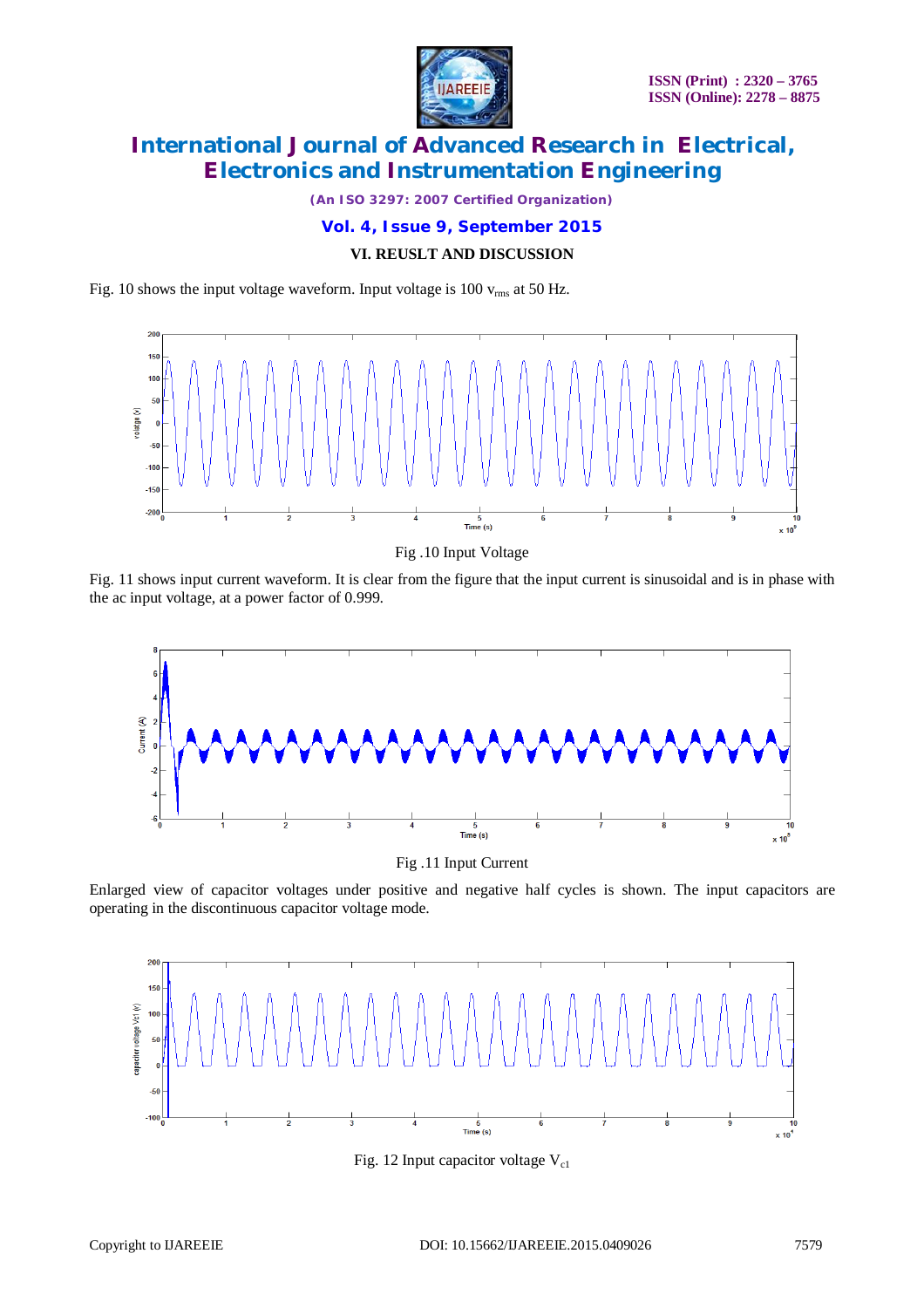

*(An ISO 3297: 2007 Certified Organization)*

**Vol. 4, Issue 9, September 2015**

#### **VI. REUSLT AND DISCUSSION**

Fig. 10 shows the input voltage waveform. Input voltage is 100  $v_{\rm rms}$  at 50 Hz.



Fig .10 Input Voltage

Fig. 11 shows input current waveform. It is clear from the figure that the input current is sinusoidal and is in phase with the ac input voltage, at a power factor of 0.999.



Fig .11 Input Current

Enlarged view of capacitor voltages under positive and negative half cycles is shown. The input capacitors are operating in the discontinuous capacitor voltage mode.



Fig. 12 Input capacitor voltage  $V_{c1}$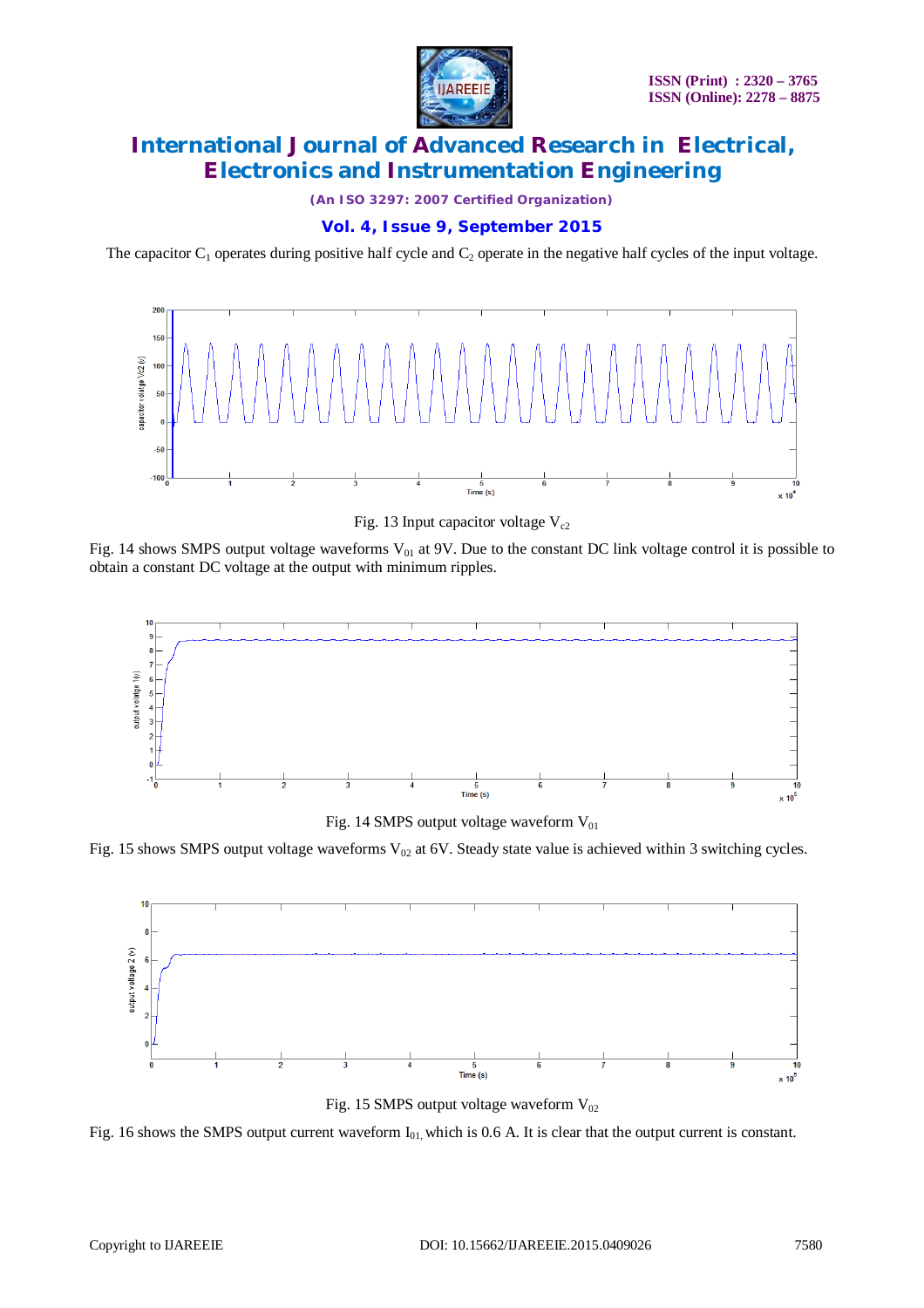

*(An ISO 3297: 2007 Certified Organization)*

### **Vol. 4, Issue 9, September 2015**

The capacitor  $C_1$  operates during positive half cycle and  $C_2$  operate in the negative half cycles of the input voltage.



Fig. 13 Input capacitor voltage  $V_{c2}$ 

Fig. 14 shows SMPS output voltage waveforms  $V_{01}$  at 9V. Due to the constant DC link voltage control it is possible to obtain a constant DC voltage at the output with minimum ripples.



Fig. 14 SMPS output voltage waveform  $V_{01}$ 

Fig. 15 shows SMPS output voltage waveforms  $V_{02}$  at 6V. Steady state value is achieved within 3 switching cycles.



Fig. 15 SMPS output voltage waveform  $V_{02}$ 

Fig. 16 shows the SMPS output current waveform  $I_{01}$ , which is 0.6 A. It is clear that the output current is constant.